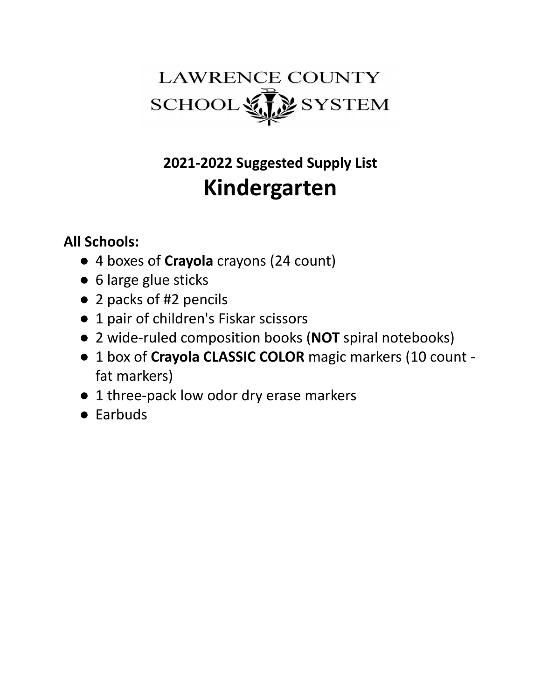

# **2021-2022 Suggested Supply List Kindergarten**

- 4 boxes of **Crayola** crayons (24 count)
- 6 large glue sticks
- 2 packs of #2 pencils
- 1 pair of children's Fiskar scissors
- 2 wide-ruled composition books (**NOT** spiral notebooks)
- 1 box of **Crayola CLASSIC COLOR** magic markers (10 count fat markers)
- 1 three-pack low odor dry erase markers
- Earbuds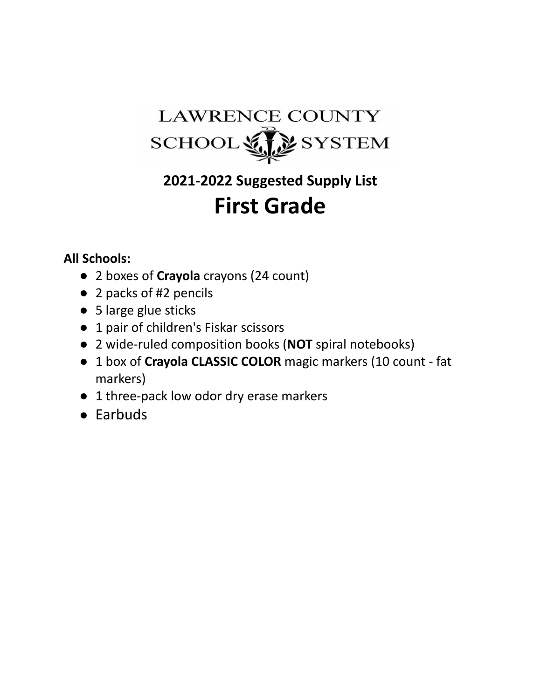### **LAWRENCE COUNTY** SCHOOL SYSTEM

# **2021-2022 Suggested Supply List First Grade**

- 2 boxes of **Crayola** crayons (24 count)
- 2 packs of #2 pencils
- 5 large glue sticks
- 1 pair of children's Fiskar scissors
- 2 wide-ruled composition books (**NOT** spiral notebooks)
- 1 box of **Crayola CLASSIC COLOR** magic markers (10 count fat markers)
- 1 three-pack low odor dry erase markers
- Earbuds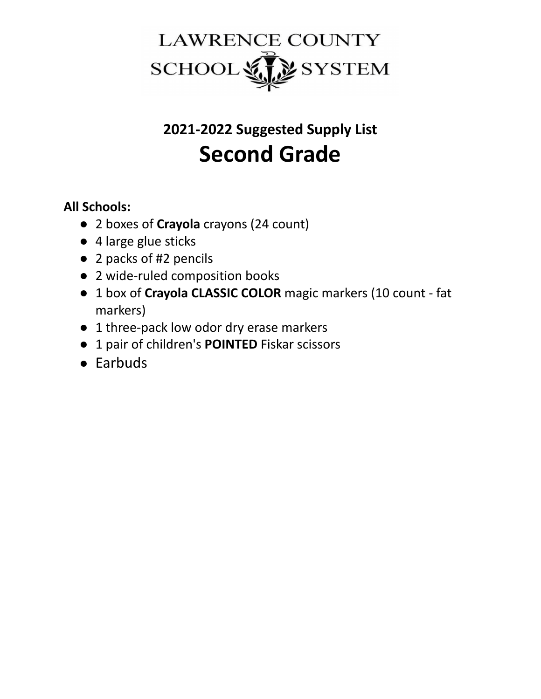

# **2021-2022 Suggested Supply List Second Grade**

- 2 boxes of **Crayola** crayons (24 count)
- 4 large glue sticks
- 2 packs of #2 pencils
- 2 wide-ruled composition books
- 1 box of **Crayola CLASSIC COLOR** magic markers (10 count fat markers)
- 1 three-pack low odor dry erase markers
- 1 pair of children's **POINTED** Fiskar scissors
- Earbuds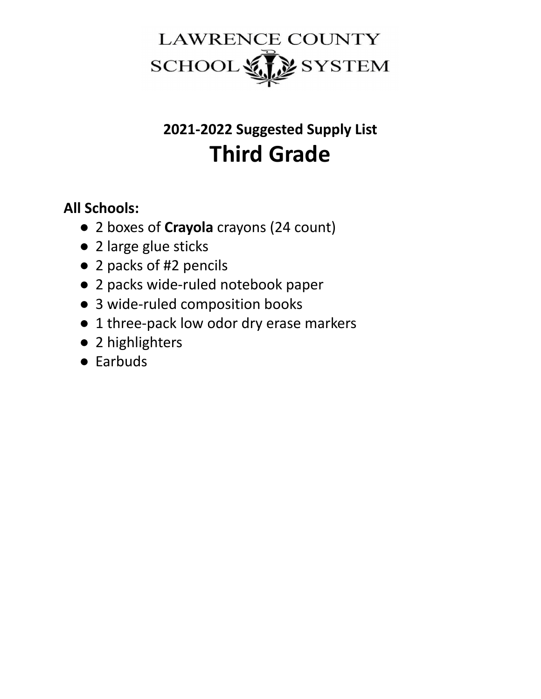

# **2021-2022 Suggested Supply List Third Grade**

- 2 boxes of **Crayola** crayons (24 count)
- 2 large glue sticks
- 2 packs of #2 pencils
- 2 packs wide-ruled notebook paper
- 3 wide-ruled composition books
- 1 three-pack low odor dry erase markers
- 2 highlighters
- Earbuds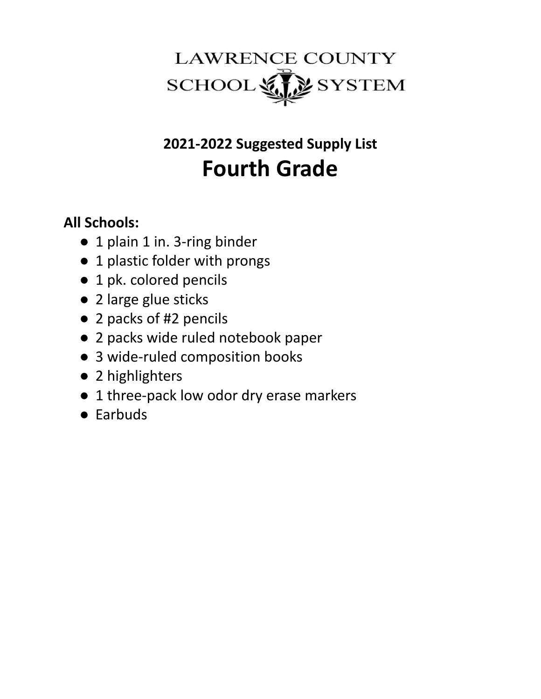

# **2021-2022 Suggested Supply List Fourth Grade**

- 1 plain 1 in. 3-ring binder
- 1 plastic folder with prongs
- 1 pk. colored pencils
- 2 large glue sticks
- 2 packs of #2 pencils
- 2 packs wide ruled notebook paper
- 3 wide-ruled composition books
- 2 highlighters
- 1 three-pack low odor dry erase markers
- Earbuds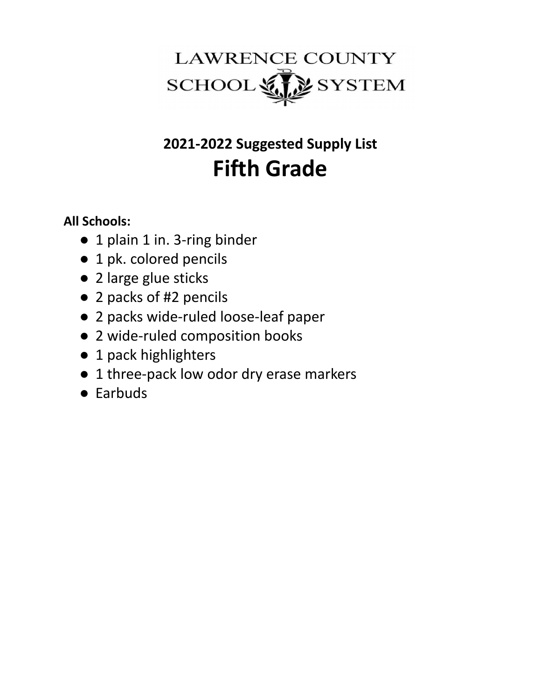

# **2021-2022 Suggested Supply List Fifth Grade**

- 1 plain 1 in. 3-ring binder
- 1 pk. colored pencils
- 2 large glue sticks
- 2 packs of #2 pencils
- 2 packs wide-ruled loose-leaf paper
- 2 wide-ruled composition books
- 1 pack highlighters
- 1 three-pack low odor dry erase markers
- Earbuds